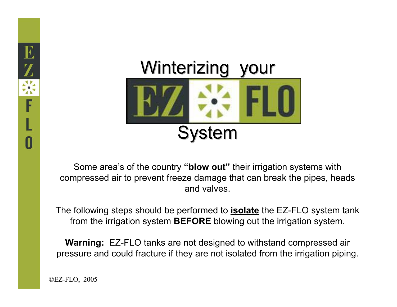

Some area's of the country **"blow out"** their irrigation systems with compressed air to prevent freeze damage that can break the pipes, heads and valves.

The following steps should be performed to **isolate** the EZ-FLO system tank from the irrigation system **BEFORE** blowing out the irrigation system.

**Warning:** EZ-FLO tanks are not designed to withstand compressed air pressure and could fracture if they are not isolated from the irrigation piping.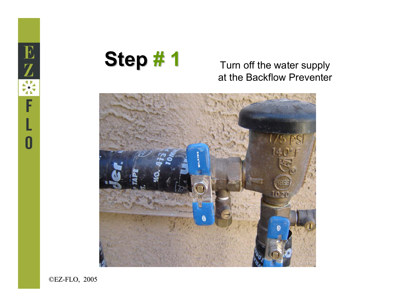



# at the Backflow Preventer

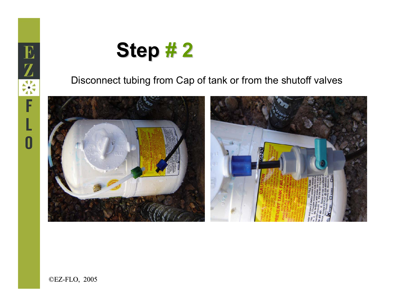

#### Disconnect tubing from Cap of tank or from the shutoff valves

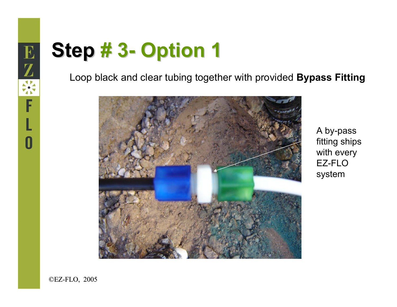#### **Step # 3- Option 1**

Loop black and clear tubing together with provided **Bypass Fitting**



A by-pass fitting ships with every EZ-FLO system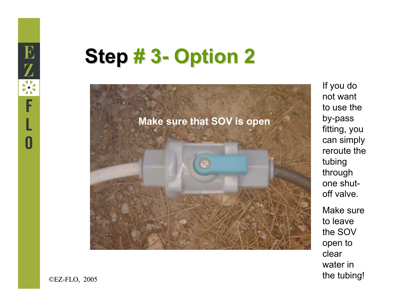## **Step # 3- Option 2**



If you do not want to use the by-pass fitting, you can simply reroute the tubing through one shutoff valve.

Make sure to leave the SOV open to clear water in the tubing!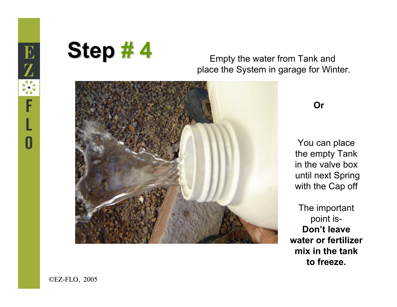

#### place the System in garage for Winter.



**Or**

You can place the empty Tank in the valve boxuntil next Spring with the Cap off

The important point is-**Don't leave water or fertilizer mix in the tank to freeze.**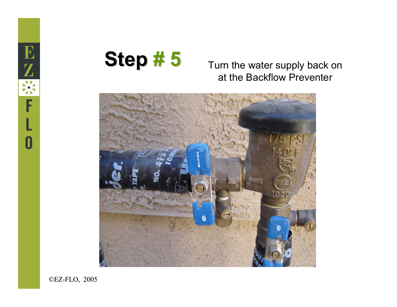



## at the Backflow Preventer